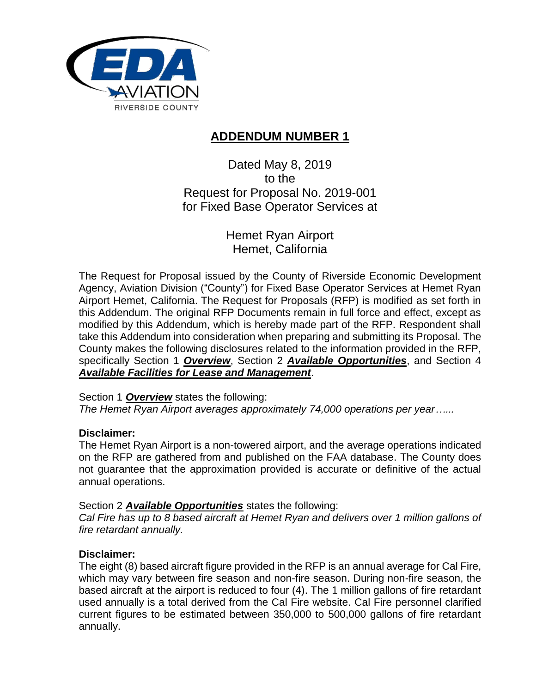

# **ADDENDUM NUMBER 1**

Dated May 8, 2019 to the Request for Proposal No. 2019-001 for Fixed Base Operator Services at

> Hemet Ryan Airport Hemet, California

The Request for Proposal issued by the County of Riverside Economic Development Agency, Aviation Division ("County") for Fixed Base Operator Services at Hemet Ryan Airport Hemet, California. The Request for Proposals (RFP) is modified as set forth in this Addendum. The original RFP Documents remain in full force and effect, except as modified by this Addendum, which is hereby made part of the RFP. Respondent shall take this Addendum into consideration when preparing and submitting its Proposal. The County makes the following disclosures related to the information provided in the RFP, specifically Section 1 *Overview*, Section 2 *Available Opportunities*, and Section 4 *Available Facilities for Lease and Management*.

Section 1 *Overview* states the following:

*The Hemet Ryan Airport averages approximately 74,000 operations per year…...* 

## **Disclaimer:**

The Hemet Ryan Airport is a non-towered airport, and the average operations indicated on the RFP are gathered from and published on the FAA database. The County does not guarantee that the approximation provided is accurate or definitive of the actual annual operations.

#### Section 2 *Available Opportunities* states the following:

*Cal Fire has up to 8 based aircraft at Hemet Ryan and delivers over 1 million gallons of fire retardant annually.* 

## **Disclaimer:**

The eight (8) based aircraft figure provided in the RFP is an annual average for Cal Fire, which may vary between fire season and non-fire season. During non-fire season, the based aircraft at the airport is reduced to four (4). The 1 million gallons of fire retardant used annually is a total derived from the Cal Fire website. Cal Fire personnel clarified current figures to be estimated between 350,000 to 500,000 gallons of fire retardant annually.